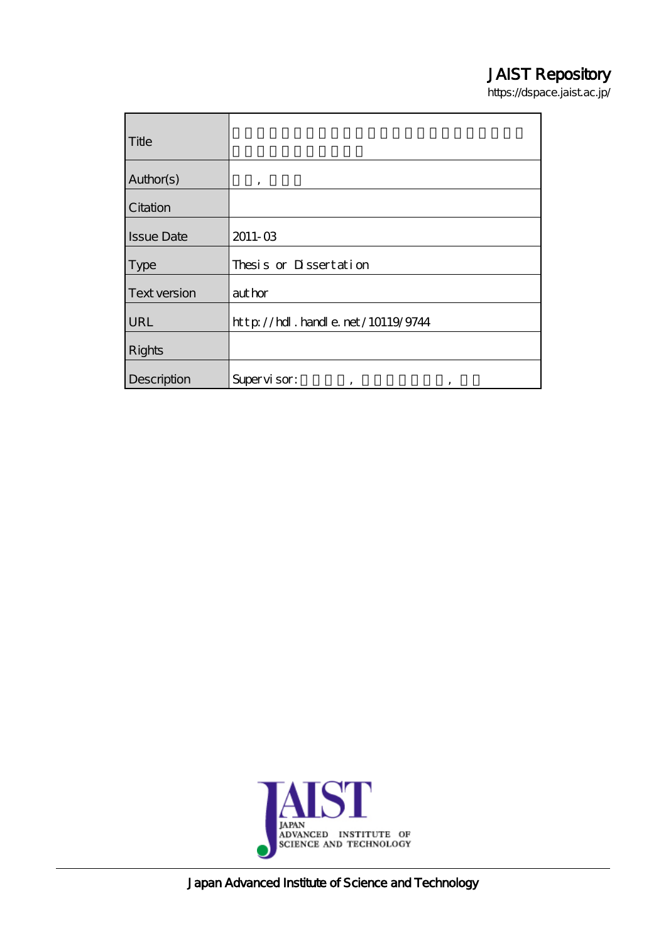## JAIST Repository

https://dspace.jaist.ac.jp/

| Title             |                                          |
|-------------------|------------------------------------------|
| Author(s)         | ,                                        |
| Citation          |                                          |
| <b>Issue Date</b> | $2011 - 03$                              |
| <b>Type</b>       | Thesis or Dissertation                   |
| Text version      | author                                   |
| URL               | $http$ // $hdl$ . handle. net/10119/9744 |
| <b>Rights</b>     |                                          |
| Description       | Supervisor:<br>,<br>,                    |



Japan Advanced Institute of Science and Technology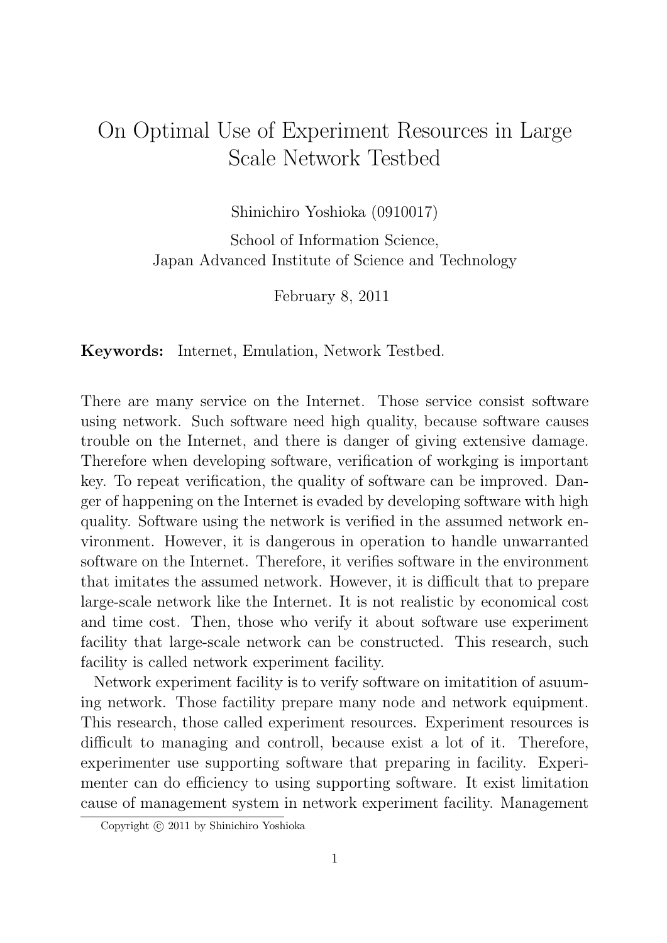## On Optimal Use of Experiment Resources in Large Scale Network Testbed

Shinichiro Yoshioka (0910017)

School of Information Science, Japan Advanced Institute of Science and Technology

February 8, 2011

**Keywords:** Internet, Emulation, Network Testbed.

There are many service on the Internet. Those service consist software using network. Such software need high quality, because software causes trouble on the Internet, and there is danger of giving extensive damage. Therefore when developing software, verification of workging is important key. To repeat verification, the quality of software can be improved. Danger of happening on the Internet is evaded by developing software with high quality. Software using the network is verified in the assumed network environment. However, it is dangerous in operation to handle unwarranted software on the Internet. Therefore, it verifies software in the environment that imitates the assumed network. However, it is difficult that to prepare large-scale network like the Internet. It is not realistic by economical cost and time cost. Then, those who verify it about software use experiment facility that large-scale network can be constructed. This research, such facility is called network experiment facility.

Network experiment facility is to verify software on imitatition of asuuming network. Those factility prepare many node and network equipment. This research, those called experiment resources. Experiment resources is difficult to managing and controll, because exist a lot of it. Therefore, experimenter use supporting software that preparing in facility. Experimenter can do efficiency to using supporting software. It exist limitation cause of management system in network experiment facility. Management

Copyright  $\odot$  2011 by Shinichiro Yoshioka